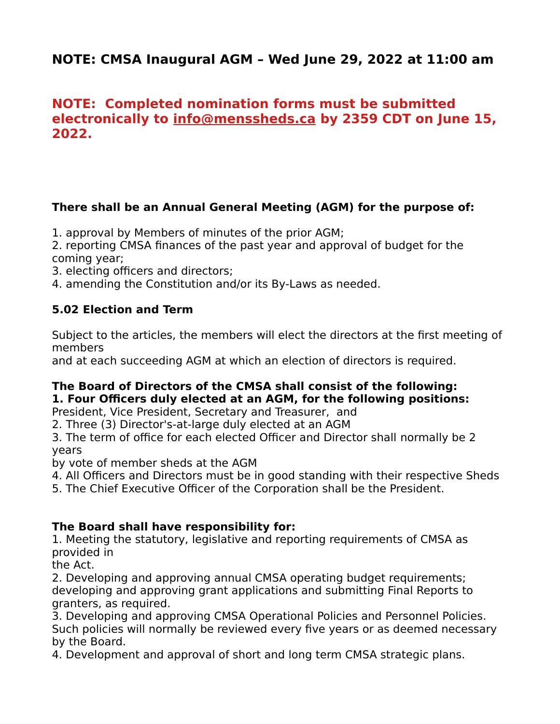# **NOTE: CMSA Inaugural AGM – Wed June 29, 2022 at 11:00 am**

# **NOTE: Completed nomination forms must be submitted electronically to [info@menssheds.ca](mailto:info@menssheds.ca) by 2359 CDT on June 15, 2022.**

## **There shall be an Annual General Meeting (AGM) for the purpose of:**

1. approval by Members of minutes of the prior AGM;

2. reporting CMSA finances of the past year and approval of budget for the coming year;

3. electing officers and directors;

4. amending the Constitution and/or its By-Laws as needed.

## **5.02 Election and Term**

Subject to the articles, the members will elect the directors at the first meeting of members

and at each succeeding AGM at which an election of directors is required.

# **The Board of Directors of the CMSA shall consist of the following: 1. Four Officers duly elected at an AGM, for the following positions:**

President, Vice President, Secretary and Treasurer, and

2. Three (3) Director's-at-large duly elected at an AGM

3. The term of office for each elected Officer and Director shall normally be 2 years

by vote of member sheds at the AGM

4. All Officers and Directors must be in good standing with their respective Sheds

5. The Chief Executive Officer of the Corporation shall be the President.

### **The Board shall have responsibility for:**

1. Meeting the statutory, legislative and reporting requirements of CMSA as provided in

the Act.

2. Developing and approving annual CMSA operating budget requirements; developing and approving grant applications and submitting Final Reports to granters, as required.

3. Developing and approving CMSA Operational Policies and Personnel Policies. Such policies will normally be reviewed every five years or as deemed necessary by the Board.

4. Development and approval of short and long term CMSA strategic plans.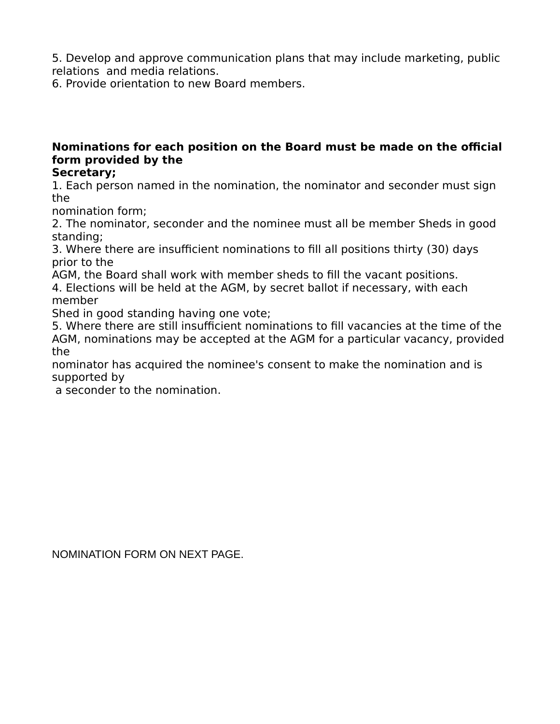5. Develop and approve communication plans that may include marketing, public relations and media relations.

6. Provide orientation to new Board members.

# **Nominations for each position on the Board must be made on the official form provided by the**

### **Secretary;**

1. Each person named in the nomination, the nominator and seconder must sign the

nomination form;

2. The nominator, seconder and the nominee must all be member Sheds in good standing;

3. Where there are insufficient nominations to fill all positions thirty (30) days prior to the

AGM, the Board shall work with member sheds to fill the vacant positions.

4. Elections will be held at the AGM, by secret ballot if necessary, with each member

Shed in good standing having one vote;

5. Where there are still insufficient nominations to fill vacancies at the time of the AGM, nominations may be accepted at the AGM for a particular vacancy, provided the

nominator has acquired the nominee's consent to make the nomination and is supported by

a seconder to the nomination.

NOMINATION FORM ON NEXT PAGE.